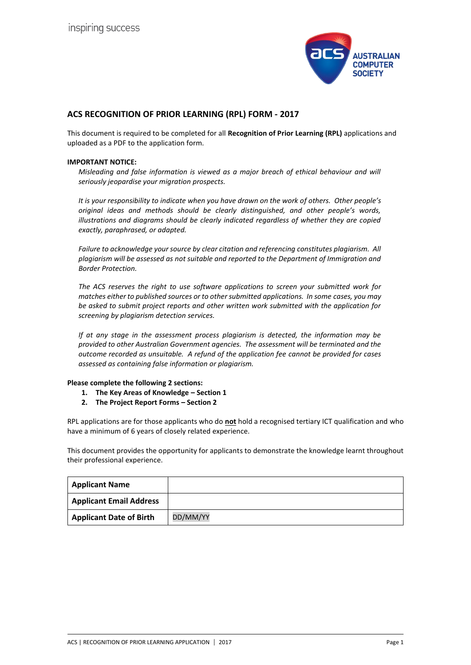

# **ACS RECOGNITION OF PRIOR LEARNING (RPL) FORM - 2017**

This document is required to be completed for all **Recognition of Prior Learning (RPL)** applications and uploaded as a PDF to the application form.

#### **IMPORTANT NOTICE:**

*Misleading and false information is viewed as a major breach of ethical behaviour and will seriously jeopardise your migration prospects.* 

*It is your responsibility to indicate when you have drawn on the work of others. Other people's original ideas and methods should be clearly distinguished, and other people's words, illustrations and diagrams should be clearly indicated regardless of whether they are copied exactly, paraphrased, or adapted.* 

*Failure to acknowledge your source by clear citation and referencing constitutes plagiarism. All plagiarism will be assessed as not suitable and reported to the Department of Immigration and Border Protection.*

*The ACS reserves the right to use software applications to screen your submitted work for matches either to published sources or to other submitted applications. In some cases, you may be asked to submit project reports and other written work submitted with the application for screening by plagiarism detection services.* 

*If at any stage in the assessment process plagiarism is detected, the information may be provided to other Australian Government agencies. The assessment will be terminated and the outcome recorded as unsuitable. A refund of the application fee cannot be provided for cases assessed as containing false information or plagiarism.*

#### **Please complete the following 2 sections:**

- **1. The Key Areas of Knowledge – Section 1**
- **2. The Project Report Forms – Section 2**

RPL applications are for those applicants who do **not** hold a recognised tertiary ICT qualification and who have a minimum of 6 years of closely related experience.

This document provides the opportunity for applicants to demonstrate the knowledge learnt throughout their professional experience.

| <b>Applicant Name</b>          |          |
|--------------------------------|----------|
| <b>Applicant Email Address</b> |          |
| <b>Applicant Date of Birth</b> | DD/MM/YY |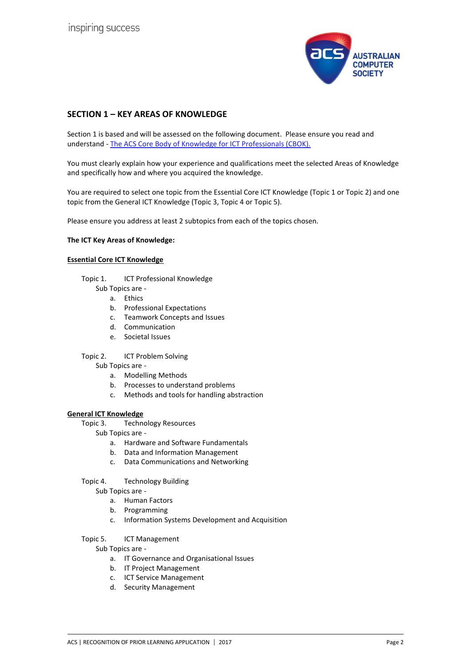

# **SECTION 1 – KEY AREAS OF KNOWLEDGE**

Section 1 is based and will be assessed on the following document. Please ensure you read and understand - [The ACS Core Body of Knowledge for ICT Professionals \(CBOK\).](http://www.acs.org.au/msa/acs-core-body-of-knowledge-for-ict-professionals-cbok.html)

You must clearly explain how your experience and qualifications meet the selected Areas of Knowledge and specifically how and where you acquired the knowledge.

You are required to select one topic from the Essential Core ICT Knowledge (Topic 1 or Topic 2) and one topic from the General ICT Knowledge (Topic 3, Topic 4 or Topic 5).

Please ensure you address at least 2 subtopics from each of the topics chosen.

#### **The ICT Key Areas of Knowledge:**

### **Essential Core ICT Knowledge**

- Topic 1. ICT Professional Knowledge
	- Sub Topics are
		- a. Ethics
		- b. Professional Expectations
		- c. Teamwork Concepts and Issues
		- d. Communication
		- e. Societal Issues
- Topic 2. ICT Problem Solving
	- Sub Topics are
		- a. Modelling Methods
		- b. Processes to understand problems
		- c. Methods and tools for handling abstraction

#### **General ICT Knowledge**

- Topic 3. Technology Resources
	- Sub Topics are
		- a. Hardware and Software Fundamentals
		- b. Data and Information Management
		- c. Data Communications and Networking
- Topic 4. Technology Building

Sub Topics are -

- a. Human Factors
- b. Programming
- c. Information Systems Development and Acquisition

### Topic 5. ICT Management

- Sub Topics are
	- a. IT Governance and Organisational Issues
	- b. IT Project Management
	- c. ICT Service Management
	- d. Security Management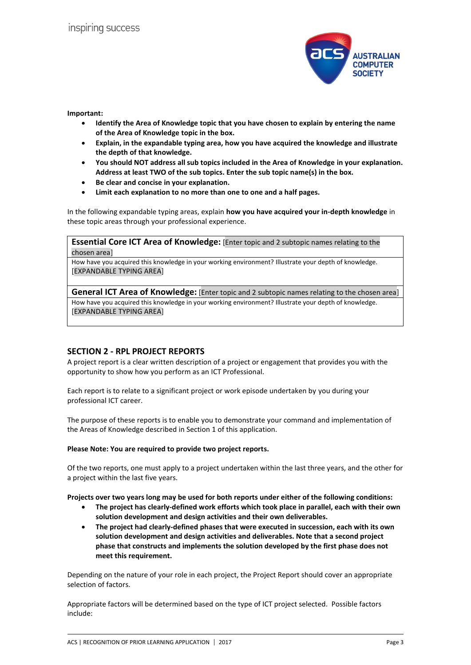

**Important:**

- **Identify the Area of Knowledge topic that you have chosen to explain by entering the name of the Area of Knowledge topic in the box.**
- **Explain, in the expandable typing area, how you have acquired the knowledge and illustrate the depth of that knowledge.**
- **You should NOT address all sub topics included in the Area of Knowledge in your explanation. Address at least TWO of the sub topics. Enter the sub topic name(s) in the box.**
- **Be clear and concise in your explanation.**
- **Limit each explanation to no more than one to one and a half pages.**

In the following expandable typing areas, explain **how you have acquired your in-depth knowledge** in these topic areas through your professional experience.

**Essential Core ICT Area of Knowledge:** [Enter topic and 2 subtopic names relating to the chosen area]

How have you acquired this knowledge in your working environment? Illustrate your depth of knowledge. [EXPANDABLE TYPING AREA]

**General ICT Area of Knowledge:** [Enter topic and 2 subtopic names relating to the chosen area] How have you acquired this knowledge in your working environment? Illustrate your depth of knowledge. [EXPANDABLE TYPING AREA]

## **SECTION 2 - RPL PROJECT REPORTS**

A project report is a clear written description of a project or engagement that provides you with the opportunity to show how you perform as an ICT Professional.

Each report is to relate to a significant project or work episode undertaken by you during your professional ICT career.

The purpose of these reports is to enable you to demonstrate your command and implementation of the Areas of Knowledge described in Section 1 of this application.

#### **Please Note: You are required to provide two project reports.**

Of the two reports, one must apply to a project undertaken within the last three years, and the other for a project within the last five years.

**Projects over two years long may be used for both reports under either of the following conditions:**

- **The project has clearly-defined work efforts which took place in parallel, each with their own solution development and design activities and their own deliverables.**
- **The project had clearly-defined phases that were executed in succession, each with its own solution development and design activities and deliverables. Note that a second project phase that constructs and implements the solution developed by the first phase does not meet this requirement.**

Depending on the nature of your role in each project, the Project Report should cover an appropriate selection of factors.

Appropriate factors will be determined based on the type of ICT project selected. Possible factors include: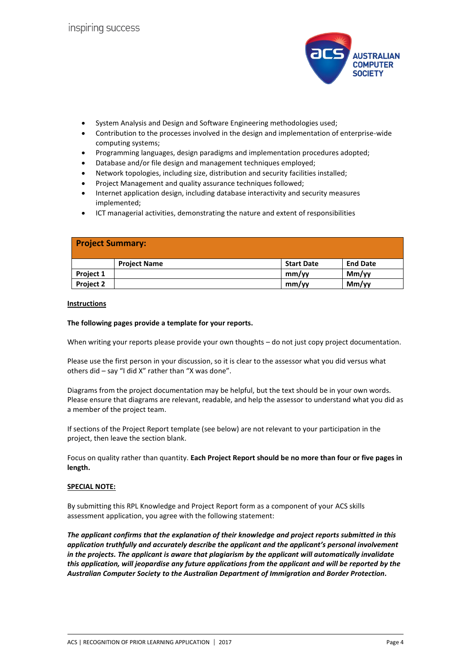

- System Analysis and Design and Software Engineering methodologies used;
- Contribution to the processes involved in the design and implementation of enterprise-wide computing systems;
- Programming languages, design paradigms and implementation procedures adopted;
- Database and/or file design and management techniques employed;
- Network topologies, including size, distribution and security facilities installed;
- Project Management and quality assurance techniques followed;
- Internet application design, including database interactivity and security measures implemented;
- ICT managerial activities, demonstrating the nature and extent of responsibilities

| <b>Project Summary:</b> |                     |                   |                 |
|-------------------------|---------------------|-------------------|-----------------|
|                         | <b>Project Name</b> | <b>Start Date</b> | <b>End Date</b> |
| Project 1               |                     | mm/yy             | Mm/yy           |
| Project 2               |                     | mm/yy             | Mm/yy           |

#### **Instructions**

#### **The following pages provide a template for your reports.**

When writing your reports please provide your own thoughts – do not just copy project documentation.

Please use the first person in your discussion, so it is clear to the assessor what you did versus what others did – say "I did X" rather than "X was done".

Diagrams from the project documentation may be helpful, but the text should be in your own words. Please ensure that diagrams are relevant, readable, and help the assessor to understand what you did as a member of the project team.

If sections of the Project Report template (see below) are not relevant to your participation in the project, then leave the section blank.

Focus on quality rather than quantity. **Each Project Report should be no more than four or five pages in length.**

#### **SPECIAL NOTE:**

By submitting this RPL Knowledge and Project Report form as a component of your ACS skills assessment application, you agree with the following statement:

*The applicant confirms that the explanation of their knowledge and project reports submitted in this application truthfully and accurately describe the applicant and the applicant's personal involvement in the projects. The applicant is aware that plagiarism by the applicant will automatically invalidate this application, will jeopardise any future applications from the applicant and will be reported by the Australian Computer Society to the Australian Department of Immigration and Border Protection.*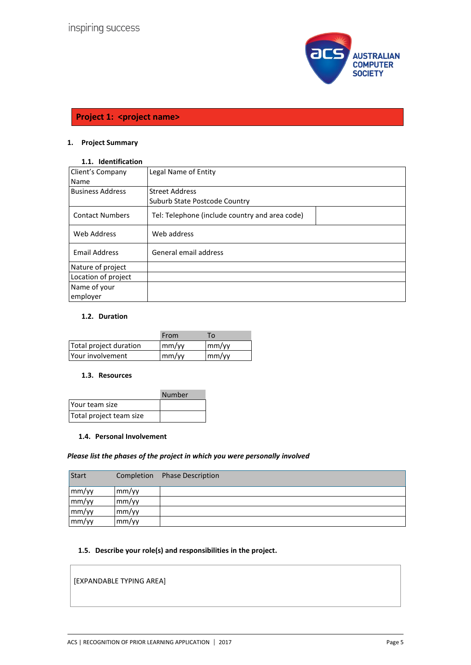

# **Project 1: < project name>**

# **1. Project Summary**

# **1.1. Identification**

| Client's Company        | Legal Name of Entity                           |
|-------------------------|------------------------------------------------|
| Name                    |                                                |
| <b>Business Address</b> | <b>Street Address</b>                          |
|                         | Suburb State Postcode Country                  |
| <b>Contact Numbers</b>  | Tel: Telephone (include country and area code) |
| Web Address             | Web address                                    |
| <b>Email Address</b>    | General email address                          |
| Nature of project       |                                                |
| Location of project     |                                                |
| Name of your            |                                                |
| employer                |                                                |

# **1.2. Duration**

|                        | From                      | То                                          |
|------------------------|---------------------------|---------------------------------------------|
| Total project duration | mm/yy                     | $\mathsf{m}\mathsf{m}/\mathsf{v}\mathsf{v}$ |
| Your involvement       | $\mathsf{mm}/\mathsf{vv}$ | $\mathsf{m}\mathsf{m}/\mathsf{v}\mathsf{v}$ |

#### **1.3. Resources**

|                         | Number |
|-------------------------|--------|
| <b>Pour team size</b>   |        |
| Total project team size |        |

#### **1.4. Personal Involvement**

#### *Please list the phases of the project in which you were personally involved*

| <b>Start</b> | Completion | <b>Phase Description</b> |
|--------------|------------|--------------------------|
| mm/yy        | mm/yy      |                          |
| mm/yy        | mm/yy      |                          |
| mm/yy        | mm/yy      |                          |
| mm/yy        | mm/yy      |                          |

# **1.5. Describe your role(s) and responsibilities in the project.**

[EXPANDABLE TYPING AREA]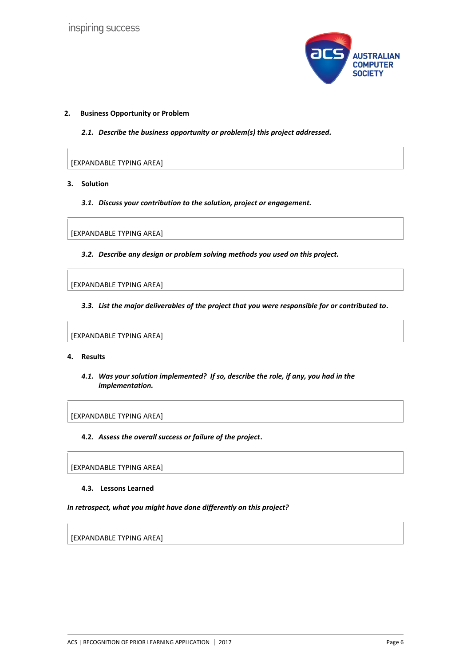

#### **2. Business Opportunity or Problem**

*2.1. Describe the business opportunity or problem(s) this project addressed.*

[EXPANDABLE TYPING AREA]

- **3. Solution**
	- *3.1. Discuss your contribution to the solution, project or engagement.*

[EXPANDABLE TYPING AREA]

*3.2. Describe any design or problem solving methods you used on this project.*

[EXPANDABLE TYPING AREA]

*3.3. List the major deliverables of the project that you were responsible for or contributed to.*

[EXPANDABLE TYPING AREA]

#### **4. Results**

*4.1. Was your solution implemented? If so, describe the role, if any, you had in the implementation.*

[EXPANDABLE TYPING AREA]

**4.2.** *Assess the overall success or failure of the project***.**

[EXPANDABLE TYPING AREA]

**4.3. Lessons Learned** 

#### *In retrospect, what you might have done differently on this project?*

[EXPANDABLE TYPING AREA]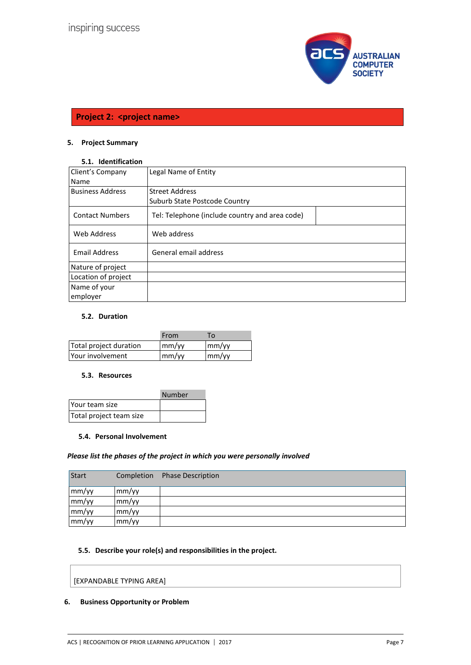

# **Project 2: < project name>**

# **5. Project Summary**

# **5.1. Identification**

| Client's Company        | Legal Name of Entity                           |
|-------------------------|------------------------------------------------|
| Name                    |                                                |
| <b>Business Address</b> | <b>Street Address</b>                          |
|                         | Suburb State Postcode Country                  |
| <b>Contact Numbers</b>  | Tel: Telephone (include country and area code) |
| Web Address             | Web address                                    |
| <b>Email Address</b>    | General email address                          |
| Nature of project       |                                                |
| Location of project     |                                                |
| Name of your            |                                                |
| employer                |                                                |

# **5.2. Duration**

|                        | From                      | То                                          |
|------------------------|---------------------------|---------------------------------------------|
| Total project duration | mm/yy                     | $\mathsf{m}\mathsf{m}/\mathsf{v}\mathsf{v}$ |
| Your involvement       | $\mathsf{mm}/\mathsf{vv}$ | $\mathsf{m}\mathsf{m}/\mathsf{v}\mathsf{v}$ |

#### **5.3. Resources**

|                         | Number |
|-------------------------|--------|
| Your team size          |        |
| Total project team size |        |

#### **5.4. Personal Involvement**

#### *Please list the phases of the project in which you were personally involved*

| <b>Start</b> | Completion | <b>Phase Description</b> |
|--------------|------------|--------------------------|
| mm/yy        | mm/yy      |                          |
| mm/yy        | mm/yy      |                          |
| mm/yy        | mm/yy      |                          |
| mm/yy        | mm/yy      |                          |

# **5.5. Describe your role(s) and responsibilities in the project.**

[EXPANDABLE TYPING AREA]

## **6. Business Opportunity or Problem**